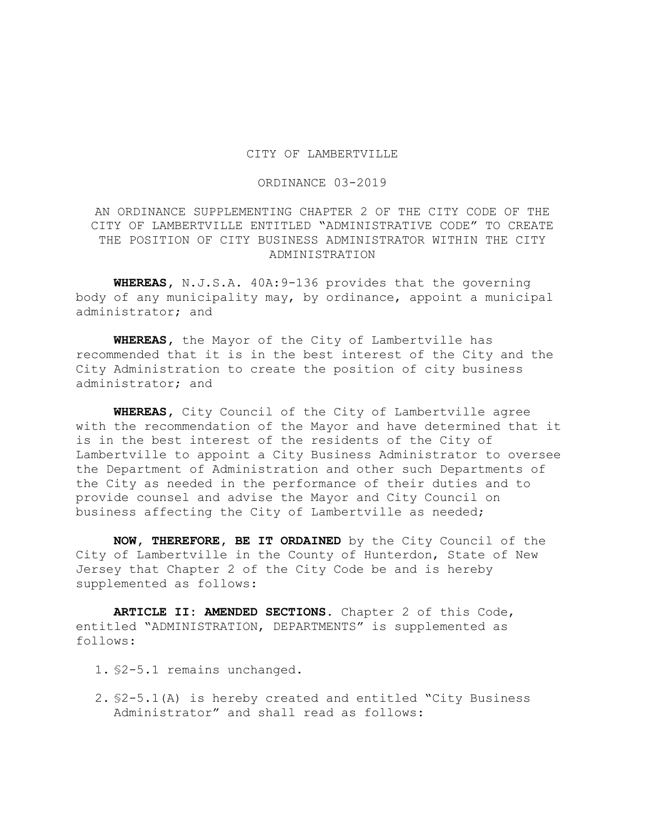## CITY OF LAMBERTVILLE

## ORDINANCE 03-2019

AN ORDINANCE SUPPLEMENTING CHAPTER 2 OF THE CITY CODE OF THE CITY OF LAMBERTVILLE ENTITLED "ADMINISTRATIVE CODE" TO CREATE THE POSITION OF CITY BUSINESS ADMINISTRATOR WITHIN THE CITY ADMINISTRATION

**WHEREAS,** N.J.S.A. 40A:9-136 provides that the governing body of any municipality may, by ordinance, appoint a municipal administrator; and

**WHEREAS,** the Mayor of the City of Lambertville has recommended that it is in the best interest of the City and the City Administration to create the position of city business administrator; and

**WHEREAS,** City Council of the City of Lambertville agree with the recommendation of the Mayor and have determined that it is in the best interest of the residents of the City of Lambertville to appoint a City Business Administrator to oversee the Department of Administration and other such Departments of the City as needed in the performance of their duties and to provide counsel and advise the Mayor and City Council on business affecting the City of Lambertville as needed;

**NOW, THEREFORE, BE IT ORDAINED** by the City Council of the City of Lambertville in the County of Hunterdon, State of New Jersey that Chapter 2 of the City Code be and is hereby supplemented as follows:

**ARTICLE II: AMENDED SECTIONS.** Chapter 2 of this Code, entitled "ADMINISTRATION, DEPARTMENTS" is supplemented as follows:

- 1. §2-5.1 remains unchanged.
- 2. §2-5.1(A) is hereby created and entitled "City Business Administrator" and shall read as follows: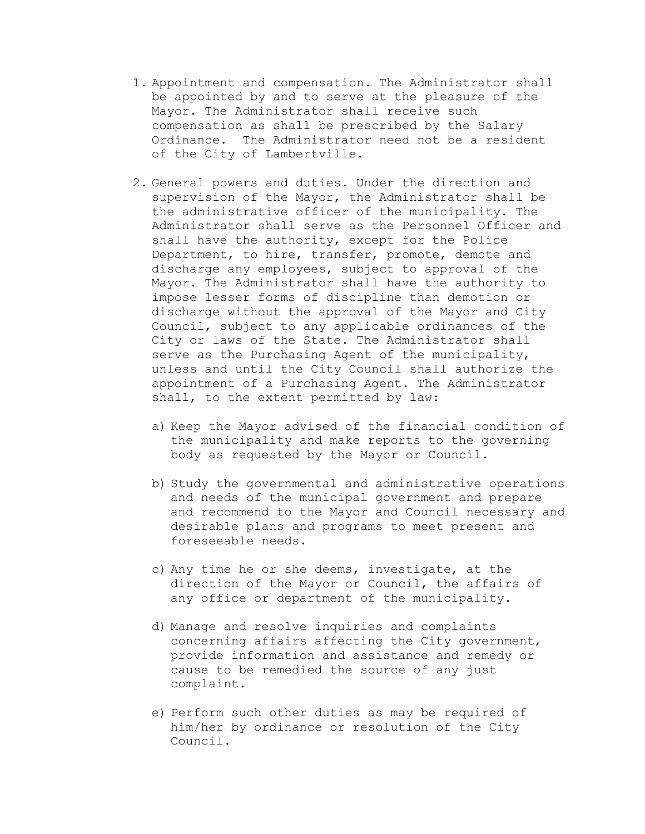- 1. Appointment and compensation. The Administrator shall be appointed by and to serve at the pleasure of the Mayor. The Administrator shall receive such compensation as shall be prescribed by the Salary Ordinance. The Administrator need not be a resident of the City of Lambertville.
- 2. General powers and duties. Under the direction and supervision of the Mayor, the Administrator shall be the administrative officer of the municipality. The Administrator shall serve as the Personnel Officer and shall have the authority, except for the Police Department, to hire, transfer, promote, demote and discharge any employees, subject to approval of the Mayor. The Administrator shall have the authority to impose lesser forms of discipline than demotion or discharge without the approval of the Mayor and City Council, subject to any applicable ordinances of the City or laws of the State. The Administrator shall serve as the Purchasing Agent of the municipality, unless and until the City Council shall authorize the appointment of a Purchasing Agent. The Administrator shall, to the extent permitted by law:
	- a) Keep the Mayor advised of the financial condition of the municipality and make reports to the governing body as requested by the Mayor or Council.
	- b) Study the governmental and administrative operations and needs of the municipal government and prepare and recommend to the Mayor and Council necessary and desirable plans and programs to meet present and foreseeable needs.
	- c) Any time he or she deems, investigate, at the direction of the Mayor or Council, the affairs of any office or department of the municipality.
	- d) Manage and resolve inquiries and complaints concerning affairs affecting the City government, provide information and assistance and remedy or cause to be remedied the source of any just complaint.
	- e) Perform such other duties as may be required of him/her by ordinance or resolution of the City Council.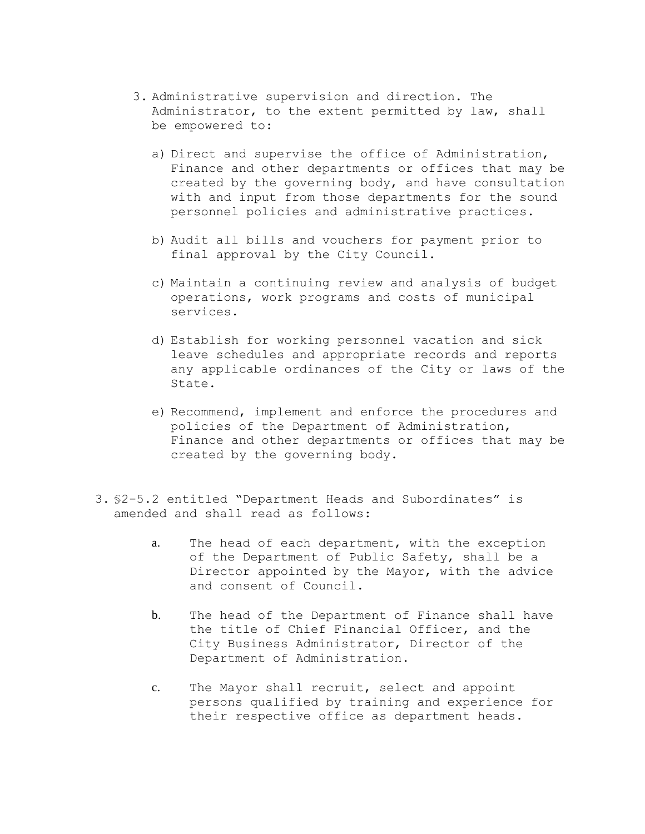- 3. Administrative supervision and direction. The Administrator, to the extent permitted by law, shall be empowered to:
	- a) Direct and supervise the office of Administration, Finance and other departments or offices that may be created by the governing body, and have consultation with and input from those departments for the sound personnel policies and administrative practices.
	- b) Audit all bills and vouchers for payment prior to final approval by the City Council.
	- c) Maintain a continuing review and analysis of budget operations, work programs and costs of municipal services.
	- d) Establish for working personnel vacation and sick leave schedules and appropriate records and reports any applicable ordinances of the City or laws of the State.
	- e) Recommend, implement and enforce the procedures and policies of the Department of Administration, Finance and other departments or offices that may be created by the governing body.
- 3. §2-5.2 entitled "Department Heads and Subordinates" is amended and shall read as follows:
	- a. The head of each department, with the exception of the Department of Public Safety, shall be a Director appointed by the Mayor, with the advice and consent of Council.
	- b. The head of the Department of Finance shall have the title of Chief Financial Officer, and the City Business Administrator, Director of the Department of Administration.
	- c. The Mayor shall recruit, select and appoint persons qualified by training and experience for their respective office as department heads.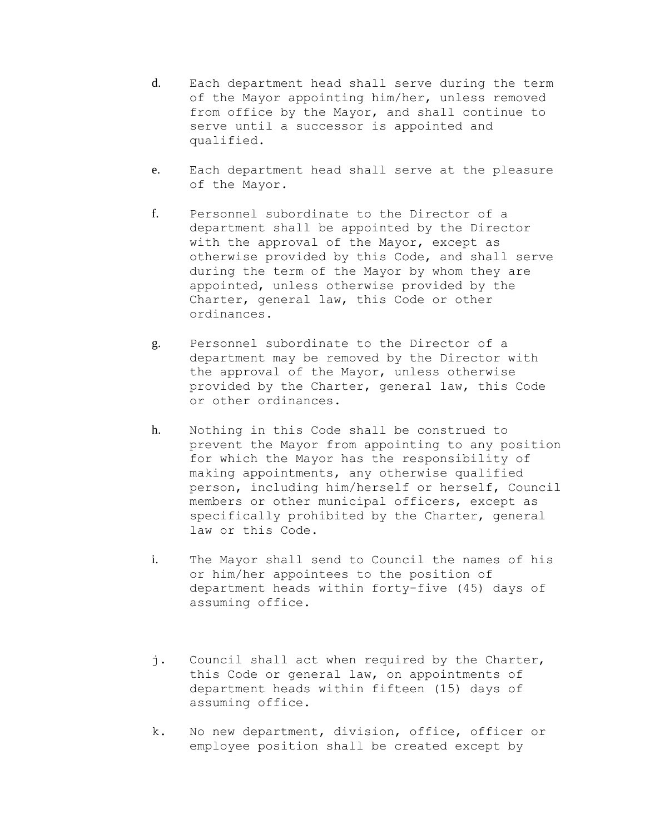- d. Each department head shall serve during the term of the Mayor appointing him/her, unless removed from office by the Mayor, and shall continue to serve until a successor is appointed and qualified.
- e. Each department head shall serve at the pleasure of the Mayor.
- f. Personnel subordinate to the Director of a department shall be appointed by the Director with the approval of the Mayor, except as otherwise provided by this Code, and shall serve during the term of the Mayor by whom they are appointed, unless otherwise provided by the Charter, general law, this Code or other ordinances.
- g. Personnel subordinate to the Director of a department may be removed by the Director with the approval of the Mayor, unless otherwise provided by the Charter, general law, this Code or other ordinances.
- h. Nothing in this Code shall be construed to prevent the Mayor from appointing to any position for which the Mayor has the responsibility of making appointments, any otherwise qualified person, including him/herself or herself, Council members or other municipal officers, except as specifically prohibited by the Charter, general law or this Code.
- i. The Mayor shall send to Council the names of his or him/her appointees to the position of department heads within forty-five (45) days of assuming office.
- j. Council shall act when required by the Charter, this Code or general law, on appointments of department heads within fifteen (15) days of assuming office.
- k. No new department, division, office, officer or employee position shall be created except by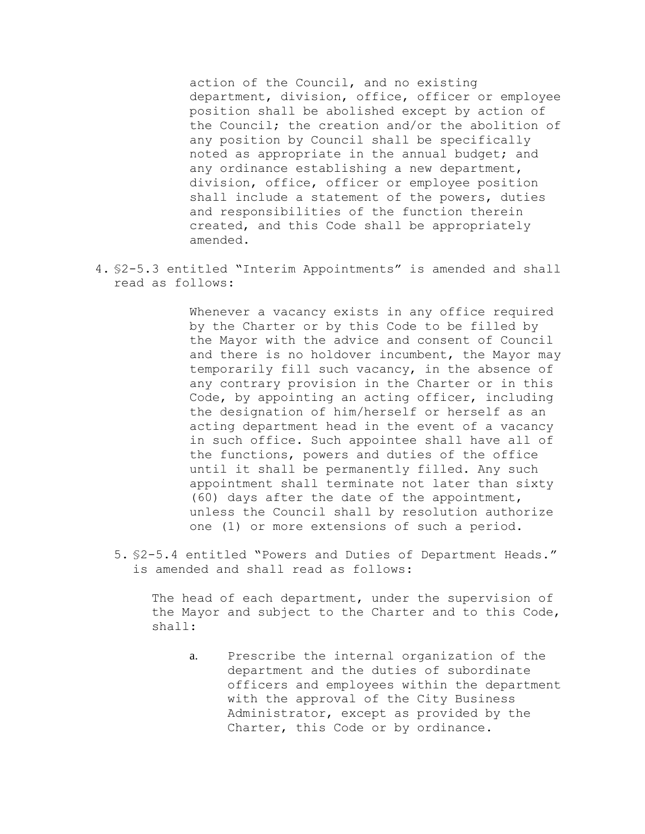action of the Council, and no existing department, division, office, officer or employee position shall be abolished except by action of the Council; the creation and/or the abolition of any position by Council shall be specifically noted as appropriate in the annual budget; and any ordinance establishing a new department, division, office, officer or employee position shall include a statement of the powers, duties and responsibilities of the function therein created, and this Code shall be appropriately amended.

4. §2-5.3 entitled "Interim Appointments" is amended and shall read as follows:

> Whenever a vacancy exists in any office required by the Charter or by this Code to be filled by the Mayor with the advice and consent of Council and there is no holdover incumbent, the Mayor may temporarily fill such vacancy, in the absence of any contrary provision in the Charter or in this Code, by appointing an acting officer, including the designation of him/herself or herself as an acting department head in the event of a vacancy in such office. Such appointee shall have all of the functions, powers and duties of the office until it shall be permanently filled. Any such appointment shall terminate not later than sixty (60) days after the date of the appointment, unless the Council shall by resolution authorize one (1) or more extensions of such a period.

5. §2-5.4 entitled "Powers and Duties of Department Heads." is amended and shall read as follows:

The head of each department, under the supervision of the Mayor and subject to the Charter and to this Code, shall:

a. Prescribe the internal organization of the department and the duties of subordinate officers and employees within the department with the approval of the City Business Administrator, except as provided by the Charter, this Code or by ordinance.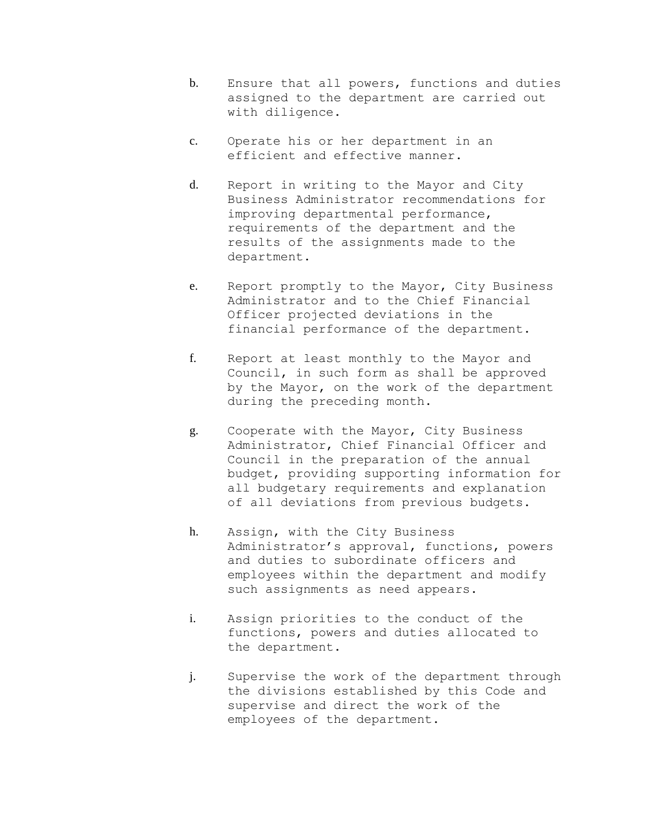- b. Ensure that all powers, functions and duties assigned to the department are carried out with diligence.
- c. Operate his or her department in an efficient and effective manner.
- d. Report in writing to the Mayor and City Business Administrator recommendations for improving departmental performance, requirements of the department and the results of the assignments made to the department.
- e. Report promptly to the Mayor, City Business Administrator and to the Chief Financial Officer projected deviations in the financial performance of the department.
- f. Report at least monthly to the Mayor and Council, in such form as shall be approved by the Mayor, on the work of the department during the preceding month.
- g. Cooperate with the Mayor, City Business Administrator, Chief Financial Officer and Council in the preparation of the annual budget, providing supporting information for all budgetary requirements and explanation of all deviations from previous budgets.
- h. Assign, with the City Business Administrator's approval, functions, powers and duties to subordinate officers and employees within the department and modify such assignments as need appears.
- i. Assign priorities to the conduct of the functions, powers and duties allocated to the department.
- j. Supervise the work of the department through the divisions established by this Code and supervise and direct the work of the employees of the department.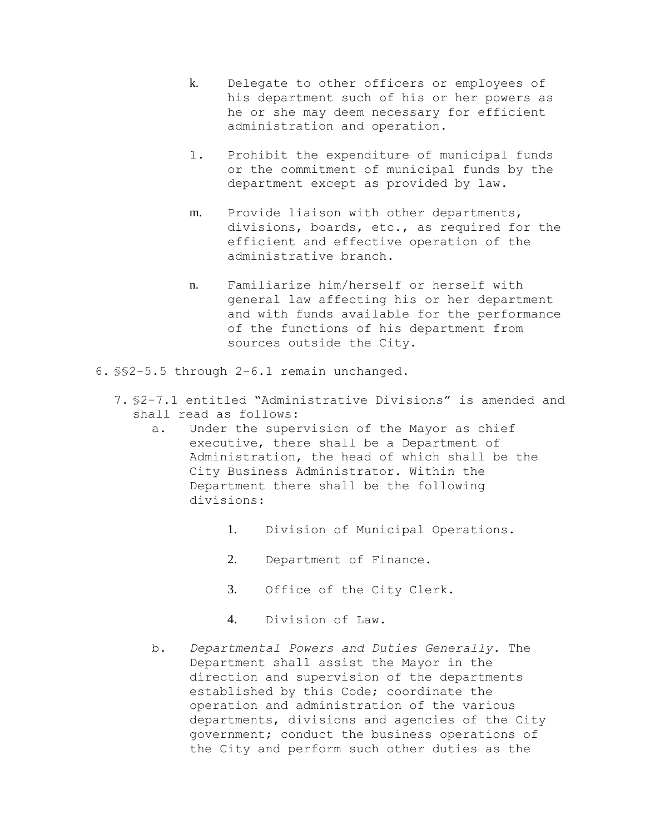- k. Delegate to other officers or employees of his department such of his or her powers as he or she may deem necessary for efficient administration and operation.
- 1. Prohibit the expenditure of municipal funds or the commitment of municipal funds by the department except as provided by law.
- m. Provide liaison with other departments, divisions, boards, etc., as required for the efficient and effective operation of the administrative branch.
- n. Familiarize him/herself or herself with general law affecting his or her department and with funds available for the performance of the functions of his department from sources outside the City.
- 6. §§2-5.5 through 2-6.1 remain unchanged.
	- 7. §2-7.1 entitled "Administrative Divisions" is amended and shall read as follows:
		- a. Under the supervision of the Mayor as chief executive, there shall be a Department of Administration, the head of which shall be the City Business Administrator. Within the Department there shall be the following divisions:
			- 1. Division of Municipal Operations.
			- 2. Department of Finance.
			- 3. Office of the City Clerk.
			- 4. Division of Law.
		- b. *Departmental Powers and Duties Generally.* The Department shall assist the Mayor in the direction and supervision of the departments established by this Code; coordinate the operation and administration of the various departments, divisions and agencies of the City government; conduct the business operations of the City and perform such other duties as the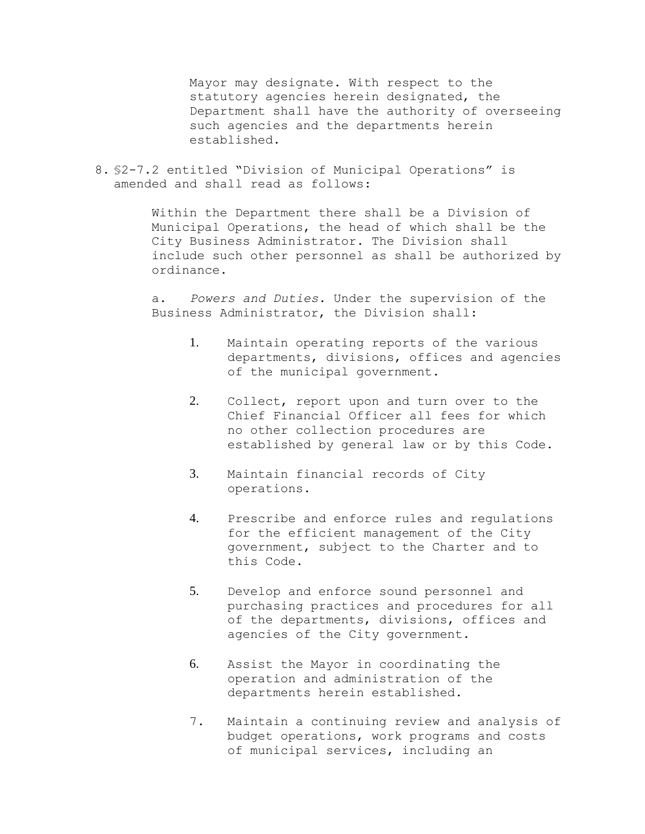Mayor may designate. With respect to the statutory agencies herein designated, the Department shall have the authority of overseeing such agencies and the departments herein established.

8. §2-7.2 entitled "Division of Municipal Operations" is amended and shall read as follows:

> Within the Department there shall be a Division of Municipal Operations, the head of which shall be the City Business Administrator. The Division shall include such other personnel as shall be authorized by ordinance.

a. *Powers and Duties.* Under the supervision of the Business Administrator, the Division shall:

- 1. Maintain operating reports of the various departments, divisions, offices and agencies of the municipal government.
- 2. Collect, report upon and turn over to the Chief Financial Officer all fees for which no other collection procedures are established by general law or by this Code.
- 3. Maintain financial records of City operations.
- 4. Prescribe and enforce rules and regulations for the efficient management of the City government, subject to the Charter and to this Code.
- 5. Develop and enforce sound personnel and purchasing practices and procedures for all of the departments, divisions, offices and agencies of the City government.
- 6. Assist the Mayor in coordinating the operation and administration of the departments herein established.
- 7. Maintain a continuing review and analysis of budget operations, work programs and costs of municipal services, including an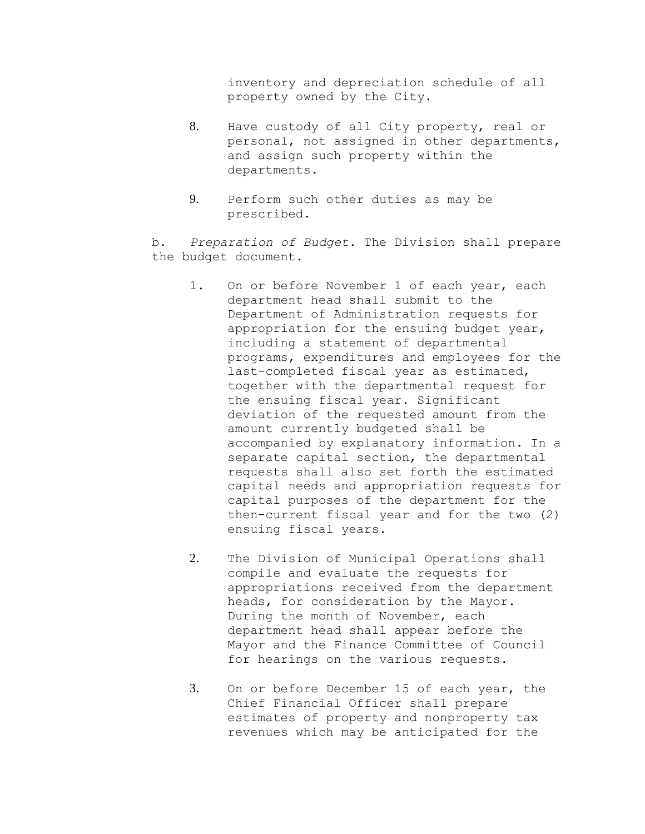inventory and depreciation schedule of all property owned by the City.

- 8. Have custody of all City property, real or personal, not assigned in other departments, and assign such property within the departments.
- 9. Perform such other duties as may be prescribed.

b. *Preparation of Budget.* The Division shall prepare the budget document.

- 1. On or before November 1 of each year, each department head shall submit to the Department of Administration requests for appropriation for the ensuing budget year, including a statement of departmental programs, expenditures and employees for the last-completed fiscal year as estimated, together with the departmental request for the ensuing fiscal year. Significant deviation of the requested amount from the amount currently budgeted shall be accompanied by explanatory information. In a separate capital section, the departmental requests shall also set forth the estimated capital needs and appropriation requests for capital purposes of the department for the then-current fiscal year and for the two (2) ensuing fiscal years.
- 2. The Division of Municipal Operations shall compile and evaluate the requests for appropriations received from the department heads, for consideration by the Mayor. During the month of November, each department head shall appear before the Mayor and the Finance Committee of Council for hearings on the various requests.
- 3. On or before December 15 of each year, the Chief Financial Officer shall prepare estimates of property and nonproperty tax revenues which may be anticipated for the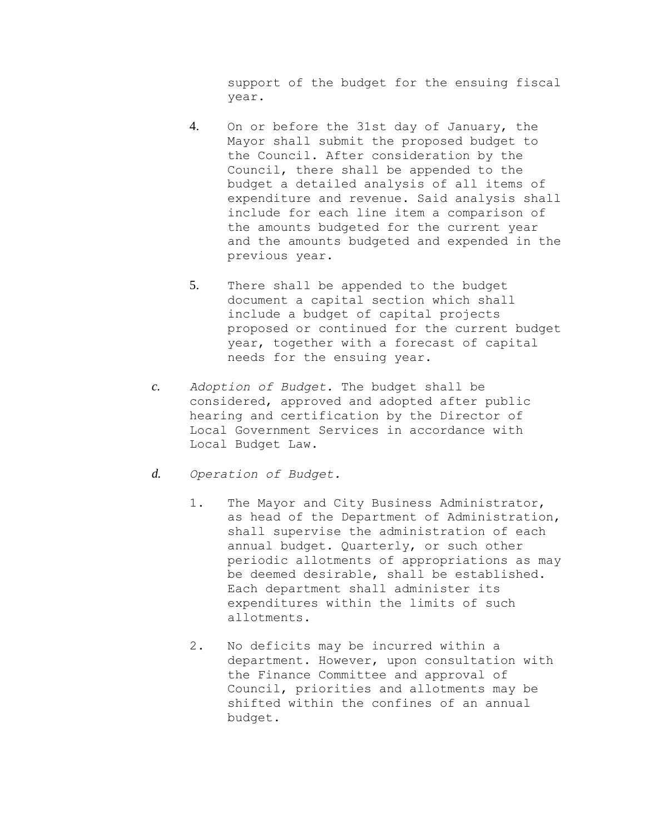support of the budget for the ensuing fiscal year.

- 4. On or before the 31st day of January, the Mayor shall submit the proposed budget to the Council. After consideration by the Council, there shall be appended to the budget a detailed analysis of all items of expenditure and revenue. Said analysis shall include for each line item a comparison of the amounts budgeted for the current year and the amounts budgeted and expended in the previous year.
- 5. There shall be appended to the budget document a capital section which shall include a budget of capital projects proposed or continued for the current budget year, together with a forecast of capital needs for the ensuing year.
- *c. Adoption of Budget.* The budget shall be considered, approved and adopted after public hearing and certification by the Director of Local Government Services in accordance with Local Budget Law.
- *d. Operation of Budget.*
	- 1. The Mayor and City Business Administrator, as head of the Department of Administration, shall supervise the administration of each annual budget. Quarterly, or such other periodic allotments of appropriations as may be deemed desirable, shall be established. Each department shall administer its expenditures within the limits of such allotments.
	- 2. No deficits may be incurred within a department. However, upon consultation with the Finance Committee and approval of Council, priorities and allotments may be shifted within the confines of an annual budget.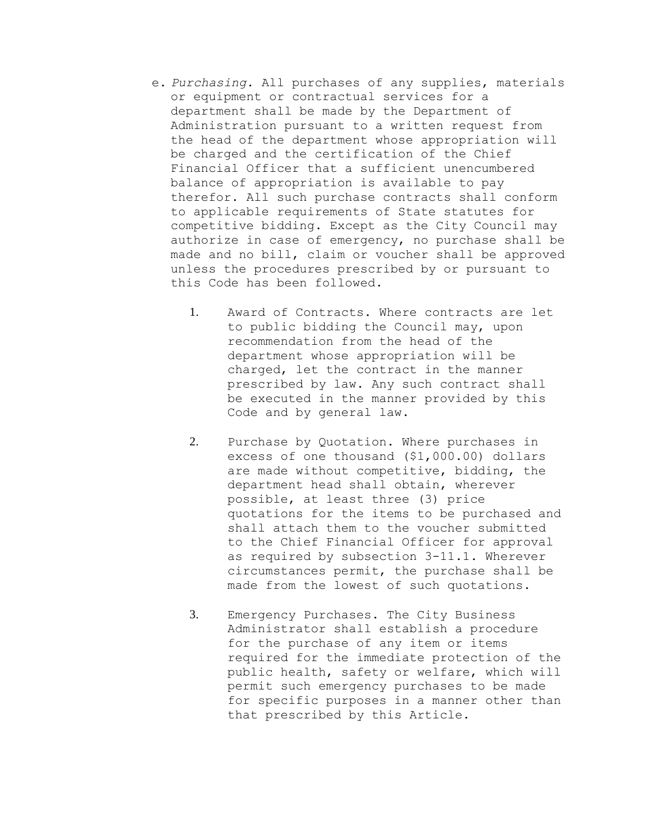- e. *Purchasing.* All purchases of any supplies, materials or equipment or contractual services for a department shall be made by the Department of Administration pursuant to a written request from the head of the department whose appropriation will be charged and the certification of the Chief Financial Officer that a sufficient unencumbered balance of appropriation is available to pay therefor. All such purchase contracts shall conform to applicable requirements of State statutes for competitive bidding. Except as the City Council may authorize in case of emergency, no purchase shall be made and no bill, claim or voucher shall be approved unless the procedures prescribed by or pursuant to this Code has been followed.
	- 1. Award of Contracts. Where contracts are let to public bidding the Council may, upon recommendation from the head of the department whose appropriation will be charged, let the contract in the manner prescribed by law. Any such contract shall be executed in the manner provided by this Code and by general law.
	- 2. Purchase by Quotation. Where purchases in excess of one thousand (\$1,000.00) dollars are made without competitive, bidding, the department head shall obtain, wherever possible, at least three (3) price quotations for the items to be purchased and shall attach them to the voucher submitted to the Chief Financial Officer for approval as required by subsection 3-11.1. Wherever circumstances permit, the purchase shall be made from the lowest of such quotations.
	- 3. Emergency Purchases. The City Business Administrator shall establish a procedure for the purchase of any item or items required for the immediate protection of the public health, safety or welfare, which will permit such emergency purchases to be made for specific purposes in a manner other than that prescribed by this Article.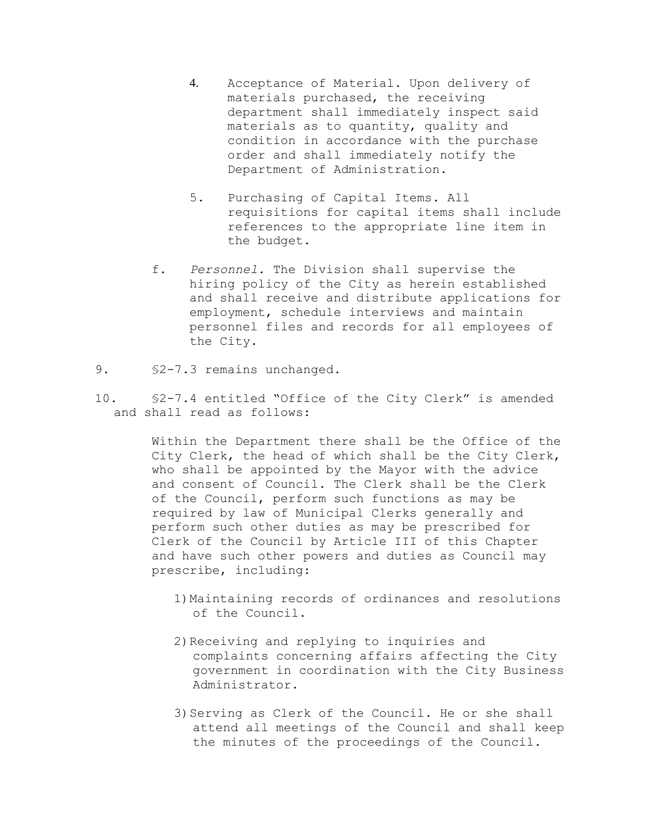- 4. Acceptance of Material. Upon delivery of materials purchased, the receiving department shall immediately inspect said materials as to quantity, quality and condition in accordance with the purchase order and shall immediately notify the Department of Administration.
- 5. Purchasing of Capital Items. All requisitions for capital items shall include references to the appropriate line item in the budget.
- f. *Personnel.* The Division shall supervise the hiring policy of the City as herein established and shall receive and distribute applications for employment, schedule interviews and maintain personnel files and records for all employees of the City.
- 9. §2-7.3 remains unchanged.
- 10. §2-7.4 entitled "Office of the City Clerk" is amended and shall read as follows:

Within the Department there shall be the Office of the City Clerk, the head of which shall be the City Clerk, who shall be appointed by the Mayor with the advice and consent of Council. The Clerk shall be the Clerk of the Council, perform such functions as may be required by law of Municipal Clerks generally and perform such other duties as may be prescribed for Clerk of the Council by Article III of this Chapter and have such other powers and duties as Council may prescribe, including:

- 1)Maintaining records of ordinances and resolutions of the Council.
- 2)Receiving and replying to inquiries and complaints concerning affairs affecting the City government in coordination with the City Business Administrator.
- 3)Serving as Clerk of the Council. He or she shall attend all meetings of the Council and shall keep the minutes of the proceedings of the Council.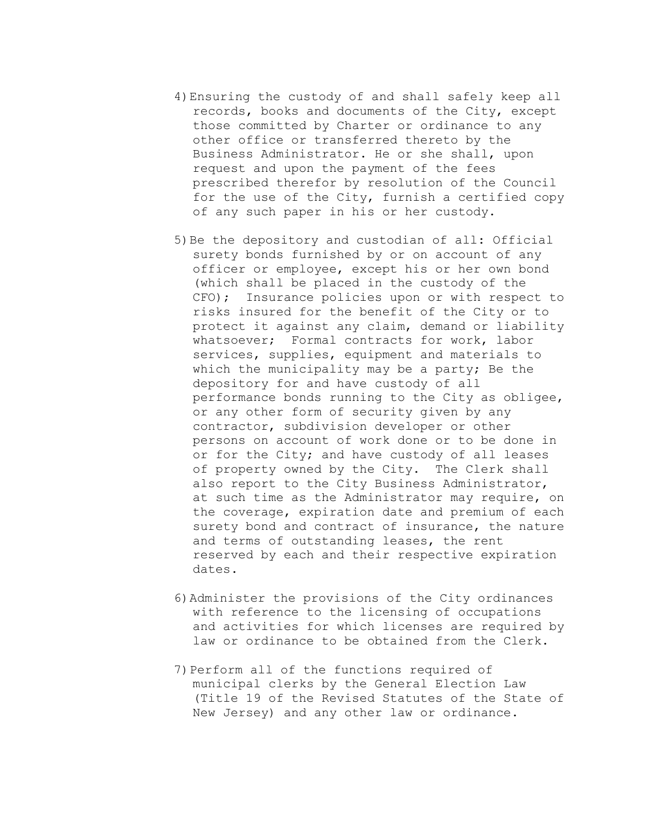- 4)Ensuring the custody of and shall safely keep all records, books and documents of the City, except those committed by Charter or ordinance to any other office or transferred thereto by the Business Administrator. He or she shall, upon request and upon the payment of the fees prescribed therefor by resolution of the Council for the use of the City, furnish a certified copy of any such paper in his or her custody.
- 5)Be the depository and custodian of all: Official surety bonds furnished by or on account of any officer or employee, except his or her own bond (which shall be placed in the custody of the CFO); Insurance policies upon or with respect to risks insured for the benefit of the City or to protect it against any claim, demand or liability whatsoever; Formal contracts for work, labor services, supplies, equipment and materials to which the municipality may be a party; Be the depository for and have custody of all performance bonds running to the City as obligee, or any other form of security given by any contractor, subdivision developer or other persons on account of work done or to be done in or for the City; and have custody of all leases of property owned by the City. The Clerk shall also report to the City Business Administrator, at such time as the Administrator may require, on the coverage, expiration date and premium of each surety bond and contract of insurance, the nature and terms of outstanding leases, the rent reserved by each and their respective expiration dates.
- 6)Administer the provisions of the City ordinances with reference to the licensing of occupations and activities for which licenses are required by law or ordinance to be obtained from the Clerk.
- 7)Perform all of the functions required of municipal clerks by the General Election Law (Title 19 of the Revised Statutes of the State of New Jersey) and any other law or ordinance.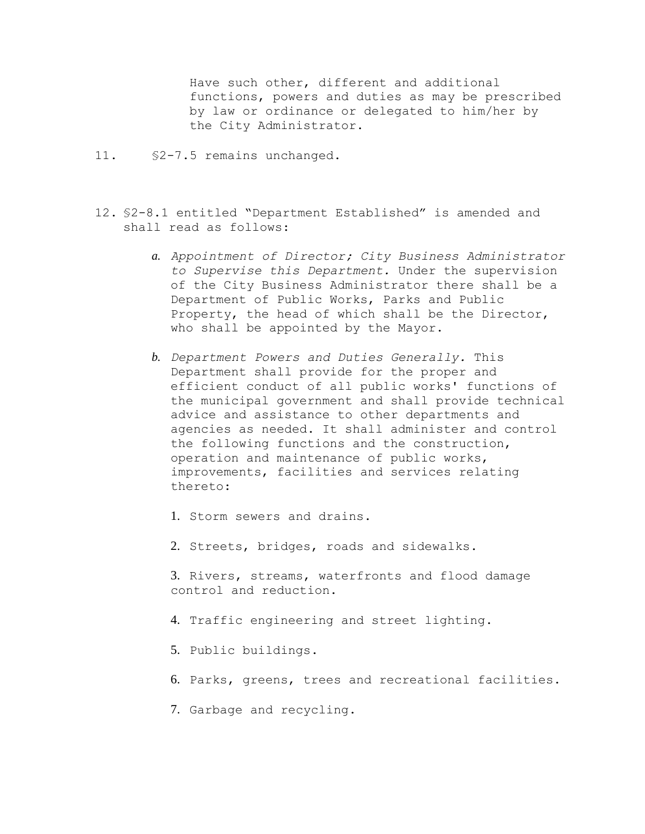Have such other, different and additional functions, powers and duties as may be prescribed by law or ordinance or delegated to him/her by the City Administrator.

- 11. §2-7.5 remains unchanged.
- 12. §2-8.1 entitled "Department Established" is amended and shall read as follows:
	- *a. Appointment of Director; City Business Administrator to Supervise this Department.* Under the supervision of the City Business Administrator there shall be a Department of Public Works, Parks and Public Property, the head of which shall be the Director, who shall be appointed by the Mayor.
	- *b. Department Powers and Duties Generally.* This Department shall provide for the proper and efficient conduct of all public works' functions of the municipal government and shall provide technical advice and assistance to other departments and agencies as needed. It shall administer and control the following functions and the construction, operation and maintenance of public works, improvements, facilities and services relating thereto:
		- 1. Storm sewers and drains.
		- 2. Streets, bridges, roads and sidewalks.
		- 3. Rivers, streams, waterfronts and flood damage control and reduction.
		- 4. Traffic engineering and street lighting.
		- 5. Public buildings.
		- 6. Parks, greens, trees and recreational facilities.
		- 7. Garbage and recycling.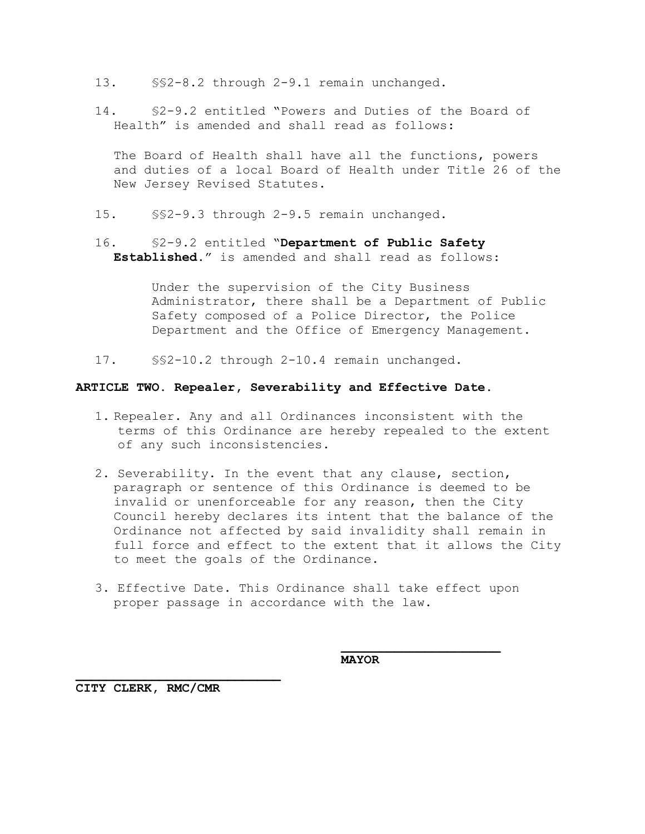- 13. §§2-8.2 through 2-9.1 remain unchanged.
- 14. §2-9.2 entitled "Powers and Duties of the Board of Health" is amended and shall read as follows:

The Board of Health shall have all the functions, powers and duties of a local Board of Health under Title 26 of the New Jersey Revised Statutes.

- 15. §§2-9.3 through 2-9.5 remain unchanged.
- 16. §2-9.2 entitled "**Department of Public Safety Established.**" is amended and shall read as follows:

Under the supervision of the City Business Administrator, there shall be a Department of Public Safety composed of a Police Director, the Police Department and the Office of Emergency Management.

17. §§2-10.2 through 2-10.4 remain unchanged.

## **ARTICLE TWO. Repealer, Severability and Effective Date.**

- 1. Repealer. Any and all Ordinances inconsistent with the terms of this Ordinance are hereby repealed to the extent of any such inconsistencies.
- 2. Severability. In the event that any clause, section, paragraph or sentence of this Ordinance is deemed to be invalid or unenforceable for any reason, then the City Council hereby declares its intent that the balance of the Ordinance not affected by said invalidity shall remain in full force and effect to the extent that it allows the City to meet the goals of the Ordinance.
- 3. Effective Date. This Ordinance shall take effect upon proper passage in accordance with the law.

**MAYOR**

**CITY CLERK, RMC/CMR**